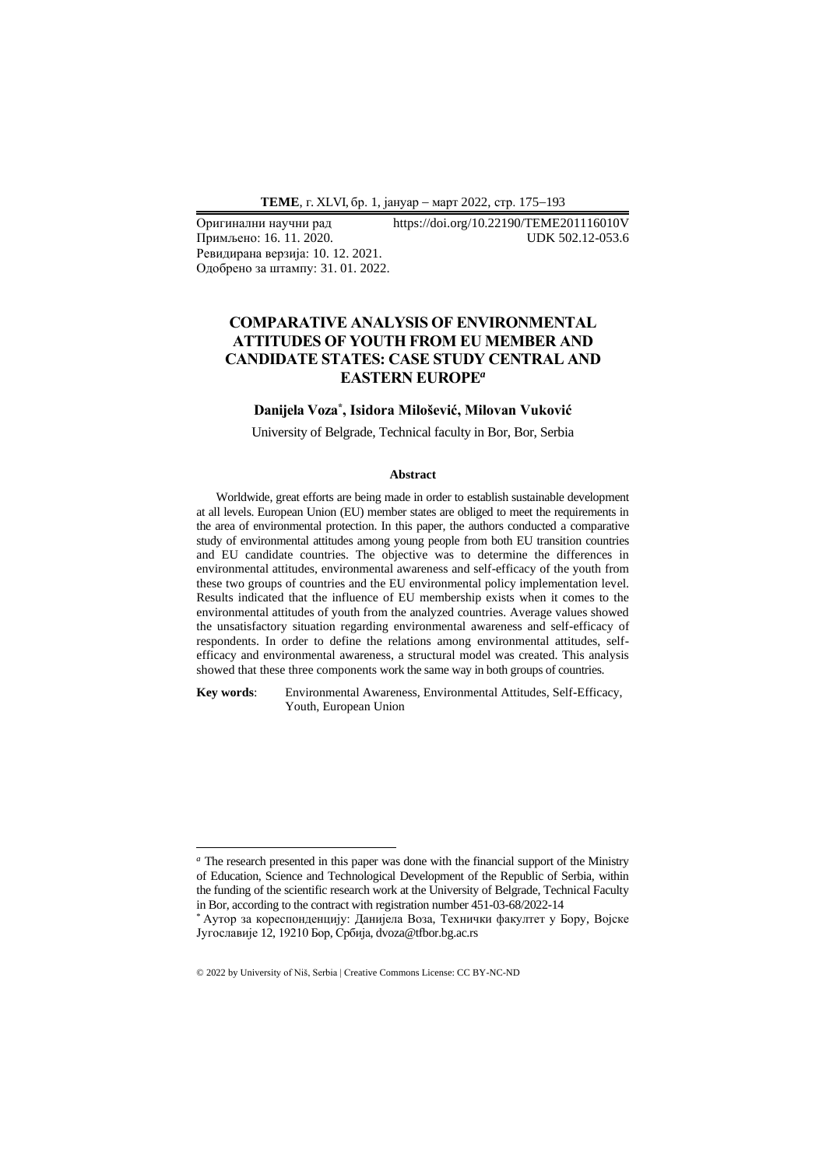Примљено: 16. 11. 2020. Ревидирана верзија: 10. 12. 2021. Одобрено за штампу: 31. 01. 2022.

# Оригинални научни рад https://doi.org/10.22190/TEME201116010V

## **COMPARATIVE ANALYSIS OF ENVIRONMENTAL ATTITUDES OF YOUTH FROM EU MEMBER AND CANDIDATE STATES: CASE STUDY CENTRAL AND EASTERN EUROPE***<sup>a</sup>*

### **Danijela Voza\* , Isidora Milošević, Milovan Vuković**

University of Belgrade, Technical faculty in Bor, Bor, Serbia

#### **Abstract**

Worldwide, great efforts are being made in order to establish sustainable development at all levels. European Union (EU) member states are obliged to meet the requirements in the area of environmental protection. In this paper, the authors conducted a comparative study of environmental attitudes among young people from both EU transition countries and EU candidate countries. The objective was to determine the differences in environmental attitudes, environmental awareness and self-efficacy of the youth from these two groups of countries and the EU environmental policy implementation level. Results indicated that the influence of EU membership exists when it comes to the environmental attitudes of youth from the analyzed countries. Average values showed the unsatisfactory situation regarding environmental awareness and self-efficacy of respondents. In order to define the relations among environmental attitudes, selfefficacy and environmental awareness, a structural model was created. This analysis showed that these three components work the same way in both groups of countries.

**Key words**: Environmental Awareness, Environmental Attitudes, Self-Efficacy, Youth, European Union

*<sup>a</sup>* The research presented in this paper was done with the financial support of the Ministry of Education, Science and Technological Development of the Republic of Serbia, within the funding of the scientific research work at the University of Belgrade, Technical Faculty in Bor, according to the contract with registration number 451-03-68/2022-14

<sup>\*</sup> Аутор за кореспонденцију: Данијела Воза, Технички факултет у Бору, Војске Југославије 12, 19210 Бор, Србија, dvoza@tfbor.bg.ac.rs

<sup>© 2022</sup> by University of Niš, Serbia | Creative Commons License: CC BY-NC-ND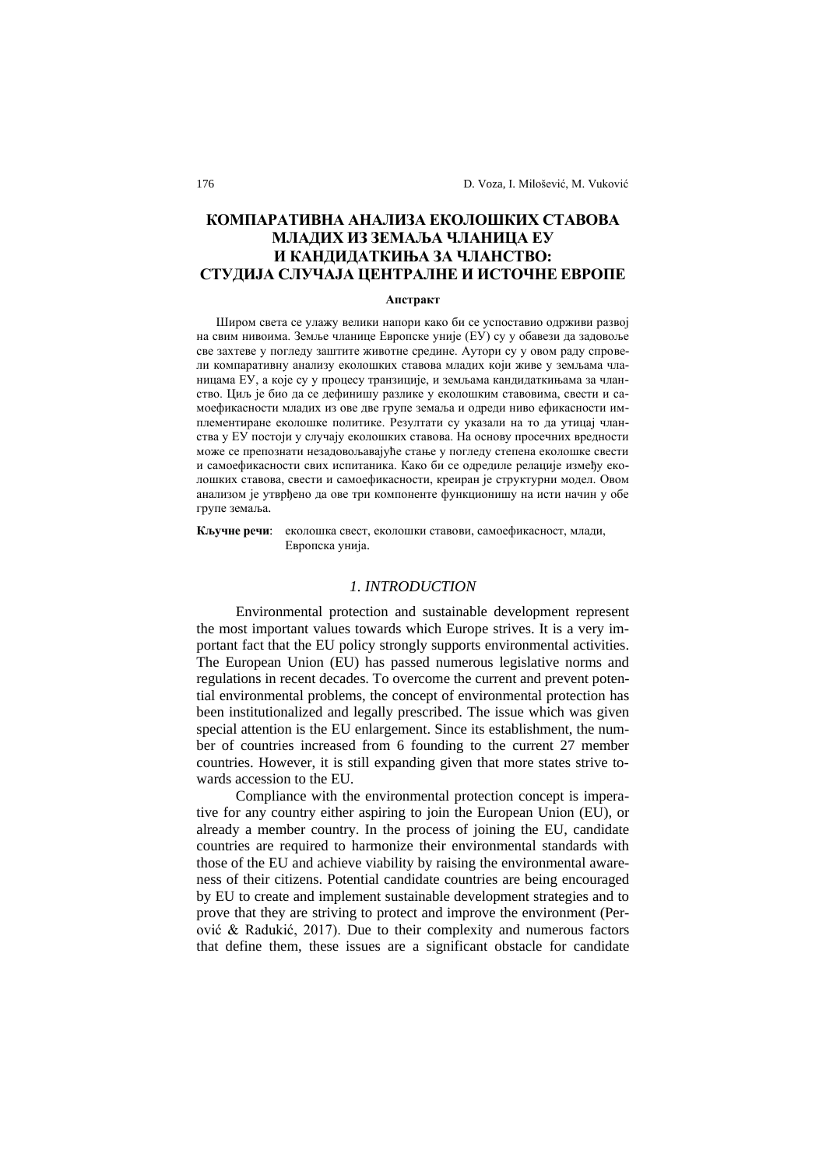# **КОМПАРАТИВНА АНАЛИЗА ЕКОЛОШКИХ СТАВОВА МЛАДИХ ИЗ ЗЕМАЉА ЧЛАНИЦА ЕУ И КАНДИДАТКИЊА ЗА ЧЛАНСТВО: СТУДИЈА СЛУЧАЈА ЦЕНТРАЛНЕ И ИСТОЧНЕ ЕВРОПЕ**

#### **Апстракт**

Широм света се улажу велики напори како би се успоставио одрживи развој на свим нивоима. Земље чланице Европске уније (ЕУ) су у обавези да задовоље све захтеве у погледу заштите животне средине. Аутори су у овом раду спровели компаративну анализу еколошких ставова младих који живе у земљама чланицама ЕУ, а које су у процесу транзиције, и земљама кандидаткињама за чланство. Циљ је био да се дефинишу разлике у еколошким ставовима, свести и самоефикасности младих из ове две групе земаља и одреди ниво ефикасности имплементиране еколошке политике. Резултати су указали на то да утицај чланства у ЕУ постоји у случају еколошких ставова. На основу просечних вредности може се препознати незадовољавајуће стање у погледу степена еколошке свести и самоефикасности свих испитаника. Како би се одредиле релације између еколошких ставова, свести и самоефикасности, креиран је структурни модел. Овом анализом је утврђено да ове три компоненте функционишу на исти начин у обе групе земаља.

**Кључне речи**: еколошка свест, еколошки ставови, самоефикасност, млади, Европска унија.

#### *1. INTRODUCTION*

Environmental protection and sustainable development represent the most important values towards which Europe strives. It is a very important fact that the EU policy strongly supports environmental activities. The European Union (EU) has passed numerous legislative norms and regulations in recent decades. To overcome the current and prevent potential environmental problems, the concept of environmental protection has been institutionalized and legally prescribed. The issue which was given special attention is the EU enlargement. Since its establishment, the number of countries increased from 6 founding to the current 27 member countries. However, it is still expanding given that more states strive towards accession to the EU.

Compliance with the environmental protection concept is imperative for any country either aspiring to join the European Union (EU), or already a member country. In the process of joining the EU, candidate countries are required to harmonize their environmental standards with those of the EU and achieve viability by raising the environmental awareness of their citizens. Potential candidate countries are being encouraged by EU to create and implement sustainable development strategies and to prove that they are striving to protect and improve the environment (Perović & Radukić, 2017). Due to their complexity and numerous factors that define them, these issues are a significant obstacle for candidate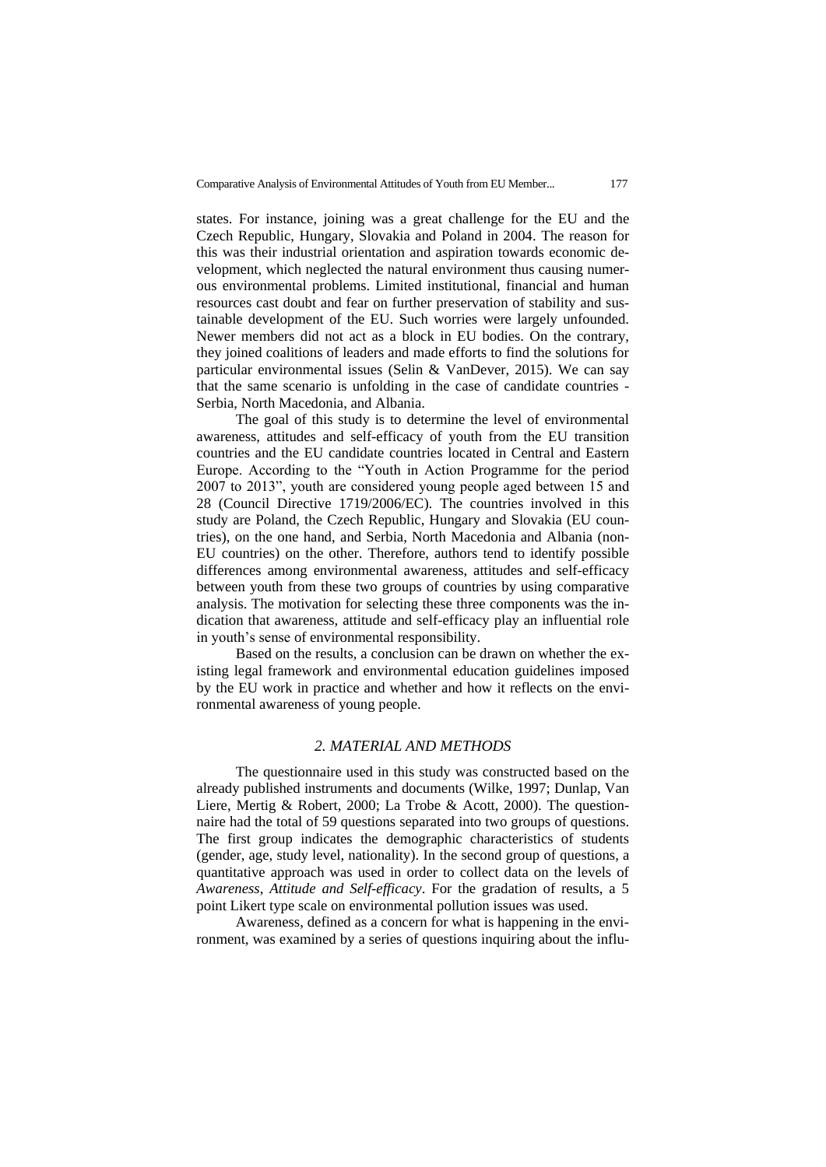states. For instance, joining was a great challenge for the EU and the Czech Republic, Hungary, Slovakia and Poland in 2004. The reason for this was their industrial orientation and aspiration towards economic development, which neglected the natural environment thus causing numerous environmental problems. Limited institutional, financial and human resources cast doubt and fear on further preservation of stability and sustainable development of the EU. Such worries were largely unfounded. Newer members did not act as a block in EU bodies. On the contrary, they joined coalitions of leaders and made efforts to find the solutions for particular environmental issues (Selin & VanDever, 2015). We can say that the same scenario is unfolding in the case of candidate countries - Serbia, North Macedonia, and Albania.

The goal of this study is to determine the level of environmental awareness, attitudes and self-efficacy of youth from the EU transition countries and the EU candidate countries located in Central and Eastern Europe. According to the "Youth in Action Programme for the period 2007 to 2013", youth are considered young people aged between 15 and 28 (Council Directive 1719/2006/EC). The countries involved in this study are Poland, the Czech Republic, Hungary and Slovakia (EU countries), on the one hand, and Serbia, North Macedonia and Albania (non-EU countries) on the other. Therefore, authors tend to identify possible differences among environmental awareness, attitudes and self-efficacy between youth from these two groups of countries by using comparative analysis. The motivation for selecting these three components was the indication that awareness, attitude and self-efficacy play an influential role in youth's sense of environmental responsibility.

Based on the results, a conclusion can be drawn on whether the existing legal framework and environmental education guidelines imposed by the EU work in practice and whether and how it reflects on the environmental awareness of young people.

#### *2. MATERIAL AND METHODS*

The questionnaire used in this study was constructed based on the already published instruments and documents (Wilke, 1997; Dunlap, Van Liere, Mertig & Robert, 2000; La Trobe & Acott, 2000). The questionnaire had the total of 59 questions separated into two groups of questions. The first group indicates the demographic characteristics of students (gender, age, study level, nationality). In the second group of questions, a quantitative approach was used in order to collect data on the levels of *Awareness*, *Attitude and Self-efficacy*. For the gradation of results, a 5 point Likert type scale on environmental pollution issues was used.

Awareness, defined as a concern for what is happening in the environment, was examined by a series of questions inquiring about the influ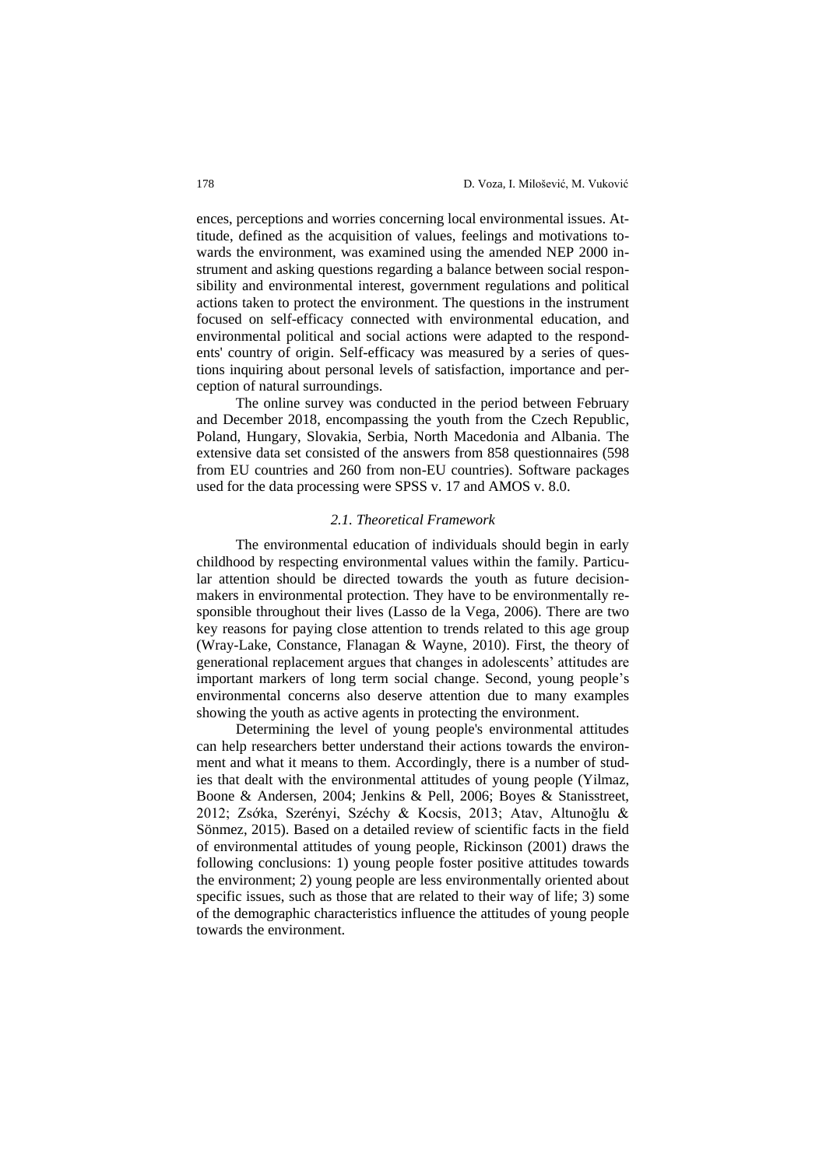ences, perceptions and worries concerning local environmental issues. Attitude, defined as the acquisition of values, feelings and motivations towards the environment, was examined using the amended NEP 2000 instrument and asking questions regarding a balance between social responsibility and environmental interest, government regulations and political actions taken to protect the environment. The questions in the instrument focused on self-efficacy connected with environmental education, and environmental political and social actions were adapted to the respondents' country of origin. Self-efficacy was measured by a series of questions inquiring about personal levels of satisfaction, importance and perception of natural surroundings.

The online survey was conducted in the period between February and December 2018, encompassing the youth from the Czech Republic, Poland, Hungary, Slovakia, Serbia, North Macedonia and Albania. The extensive data set consisted of the answers from 858 questionnaires (598 from EU countries and 260 from non-EU countries). Software packages used for the data processing were SPSS v. 17 and AMOS v. 8.0.

#### *2.1. Theoretical Framework*

The environmental education of individuals should begin in early childhood by respecting environmental values within the family. Particular attention should be directed towards the youth as future decisionmakers in environmental protection. They have to be environmentally responsible throughout their lives (Lasso de la Vega, 2006). There are two key reasons for paying close attention to trends related to this age group (Wray-Lake, Constance, Flanagan & Wayne, 2010). First, the theory of generational replacement argues that changes in adolescents' attitudes are important markers of long term social change. Second, young people's environmental concerns also deserve attention due to many examples showing the youth as active agents in protecting the environment.

Determining the level of young people's environmental attitudes can help researchers better understand their actions towards the environment and what it means to them. Accordingly, there is a number of studies that dealt with the environmental attitudes of young people (Yilmaz, Boone & Andersen, 2004; Jenkins & Pell, 2006; Boyes & Stanisstreet, 2012; Zsớka, Szerényi, Széchy & Kocsis, 2013; Atav, Altunoğlu & Sönmez, 2015). Based on a detailed review of scientific facts in the field of environmental attitudes of young people, Rickinson (2001) draws the following conclusions: 1) young people foster positive attitudes towards the environment; 2) young people are less environmentally oriented about specific issues, such as those that are related to their way of life; 3) some of the demographic characteristics influence the attitudes of young people towards the environment.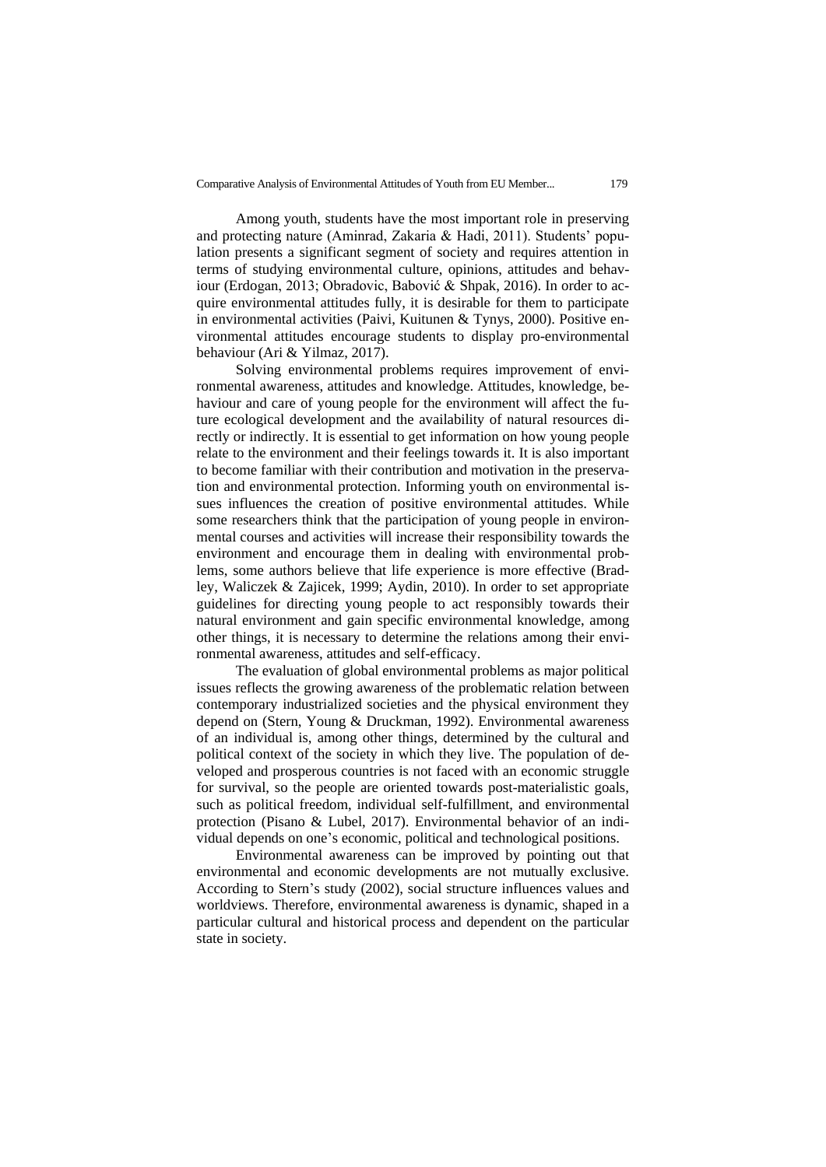Among youth, students have the most important role in preserving and protecting nature (Aminrad, Zakaria & Hadi, 2011). Students' population presents a significant segment of society and requires attention in terms of studying environmental culture, opinions, attitudes and behaviour (Erdogan, 2013; Obradovic, Babović & Shpak, 2016). In order to acquire environmental attitudes fully, it is desirable for them to participate in environmental activities (Paivi, Kuitunen & Tynys, 2000). Positive environmental attitudes encourage students to display pro-environmental behaviour (Ari & Yilmaz, 2017).

Solving environmental problems requires improvement of environmental awareness, attitudes and knowledge. Attitudes, knowledge, behaviour and care of young people for the environment will affect the future ecological development and the availability of natural resources directly or indirectly. It is essential to get information on how young people relate to the environment and their feelings towards it. It is also important to become familiar with their contribution and motivation in the preservation and environmental protection. Informing youth on environmental issues influences the creation of positive environmental attitudes. While some researchers think that the participation of young people in environmental courses and activities will increase their responsibility towards the environment and encourage them in dealing with environmental problems, some authors believe that life experience is more effective (Bradley, Waliczek & Zajicek, 1999; Aydin, 2010). In order to set appropriate guidelines for directing young people to act responsibly towards their natural environment and gain specific environmental knowledge, among other things, it is necessary to determine the relations among their environmental awareness, attitudes and self-efficacy.

The evaluation of global environmental problems as major political issues reflects the growing awareness of the problematic relation between contemporary industrialized societies and the physical environment they depend on (Stern, Young & Druckman, 1992). Environmental awareness of an individual is, among other things, determined by the cultural and political context of the society in which they live. The population of developed and prosperous countries is not faced with an economic struggle for survival, so the people are oriented towards post-materialistic goals, such as political freedom, individual self-fulfillment, and environmental protection (Pisano & Lubel, 2017). Environmental behavior of an individual depends on one's economic, political and technological positions.

Environmental awareness can be improved by pointing out that environmental and economic developments are not mutually exclusive. According to Stern's study (2002), social structure influences values and worldviews. Therefore, environmental awareness is dynamic, shaped in a particular cultural and historical process and dependent on the particular state in society.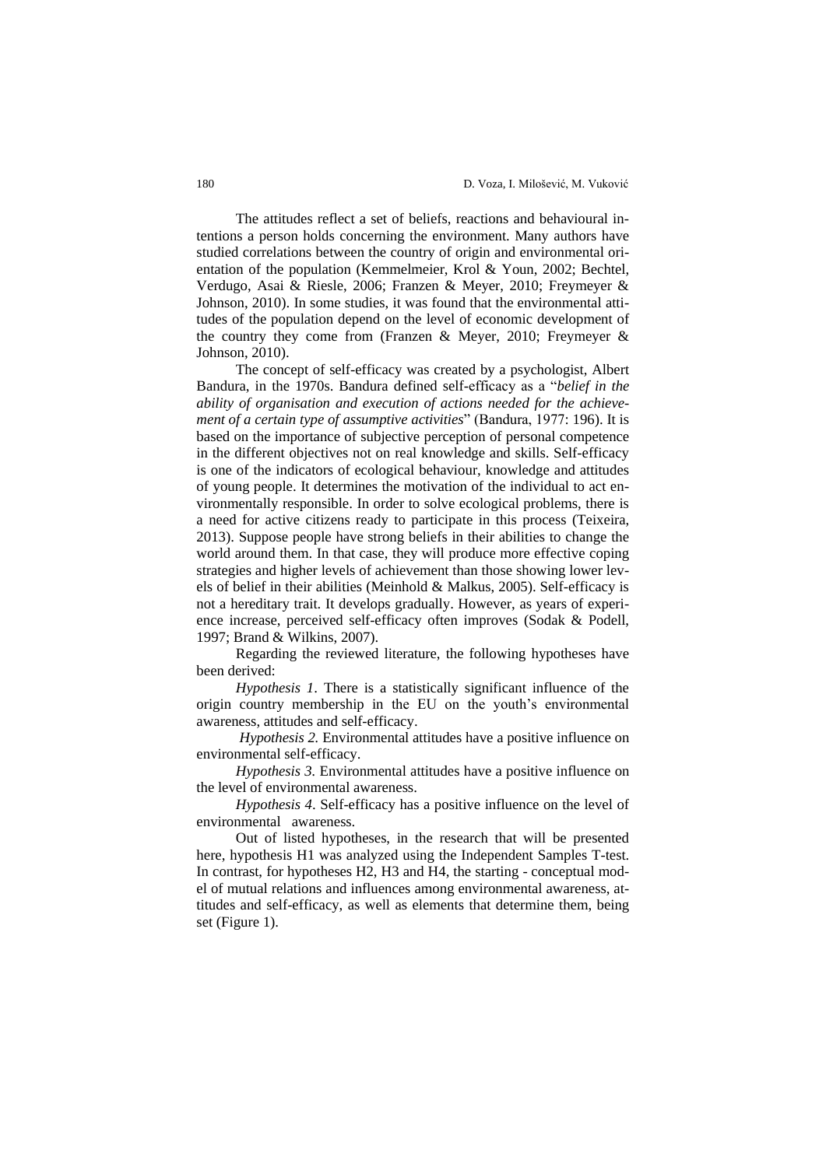The attitudes reflect a set of beliefs, reactions and behavioural intentions a person holds concerning the environment. Many authors have studied correlations between the country of origin and environmental orientation of the population (Kemmelmeier, Krol & Youn, 2002; Bechtel, Verdugo, Asai & Riesle, 2006; Franzen & Meyer, 2010; Freymeyer & Johnson, 2010). In some studies, it was found that the environmental attitudes of the population depend on the level of economic development of the country they come from (Franzen & Meyer, 2010; Freymeyer & Johnson, 2010).

The concept of self-efficacy was created by a psychologist, Albert Bandura, in the 1970s. Bandura defined self-efficacy as a "*belief in the ability of organisation and execution of actions needed for the achievement of a certain type of assumptive activities*" (Bandura, 1977: 196). It is based on the importance of subjective perception of personal competence in the different objectives not on real knowledge and skills. Self-efficacy is one of the indicators of ecological behaviour, knowledge and attitudes of young people. It determines the motivation of the individual to act environmentally responsible. In order to solve ecological problems, there is a need for active citizens ready to participate in this process (Teixeira, 2013). Suppose people have strong beliefs in their abilities to change the world around them. In that case, they will produce more effective coping strategies and higher levels of achievement than those showing lower levels of belief in their abilities (Meinhold & Malkus, 2005). Self-efficacy is not a hereditary trait. It develops gradually. However, as years of experience increase, perceived self-efficacy often improves (Sodak & Podell, 1997; Brand & Wilkins, 2007).

Regarding the reviewed literature, the following hypotheses have been derived:

*Hypothesis 1*. There is a statistically significant influence of the origin country membership in the EU on the youth's environmental awareness, attitudes and self-efficacy.

*Hypothesis 2.* Environmental attitudes have a positive influence on environmental self-efficacy.

*Hypothesis 3.* Environmental attitudes have a positive influence on the level of environmental awareness.

*Hypothesis 4*. Self-efficacy has a positive influence on the level of environmental awareness.

Out of listed hypotheses, in the research that will be presented here, hypothesis H1 was analyzed using the Independent Samples T-test. In contrast, for hypotheses H2, H3 and H4, the starting - conceptual model of mutual relations and influences among environmental awareness, attitudes and self-efficacy, as well as elements that determine them, being set (Figure 1).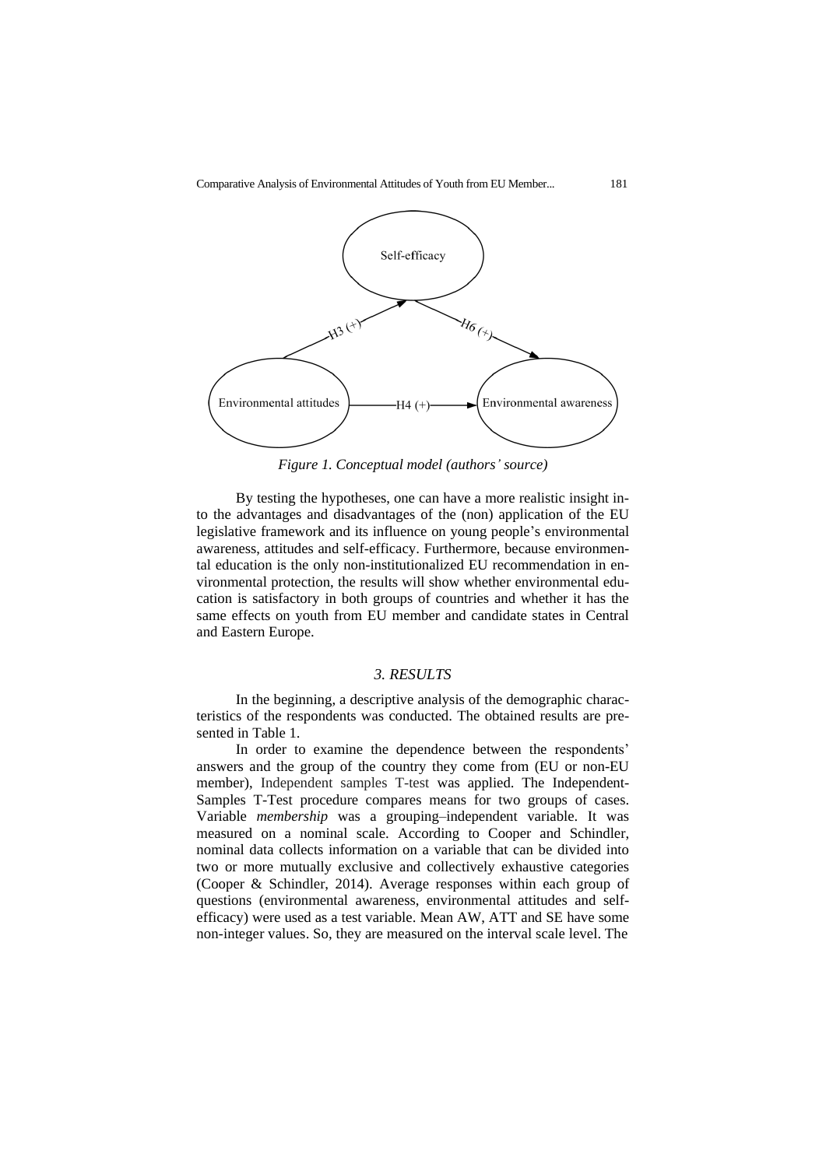

*Figure 1. Conceptual model (authors' source)*

By testing the hypotheses, one can have a more realistic insight into the advantages and disadvantages of the (non) application of the EU legislative framework and its influence on young people's environmental awareness, attitudes and self-efficacy. Furthermore, because environmental education is the only non-institutionalized EU recommendation in environmental protection, the results will show whether environmental education is satisfactory in both groups of countries and whether it has the same effects on youth from EU member and candidate states in Central and Eastern Europe.

## *3. RESULTS*

In the beginning, a descriptive analysis of the demographic characteristics of the respondents was conducted. The obtained results are presented in Table 1.

In order to examine the dependence between the respondents' answers and the group of the country they come from (EU or non-EU member), Independent samples T-test was applied. The Independent-Samples T-Test procedure compares means for two groups of cases. Variable *membership* was a grouping–independent variable. It was measured on a nominal scale. According to Cooper and Schindler, nominal data collects information on a variable that can be divided into two or more mutually exclusive and collectively exhaustive categories (Cooper & Schindler, 2014). Average responses within each group of questions (environmental awareness, environmental attitudes and selfefficacy) were used as a test variable. Mean AW, ATT and SE have some non-integer values. So, they are measured on the interval scale level. The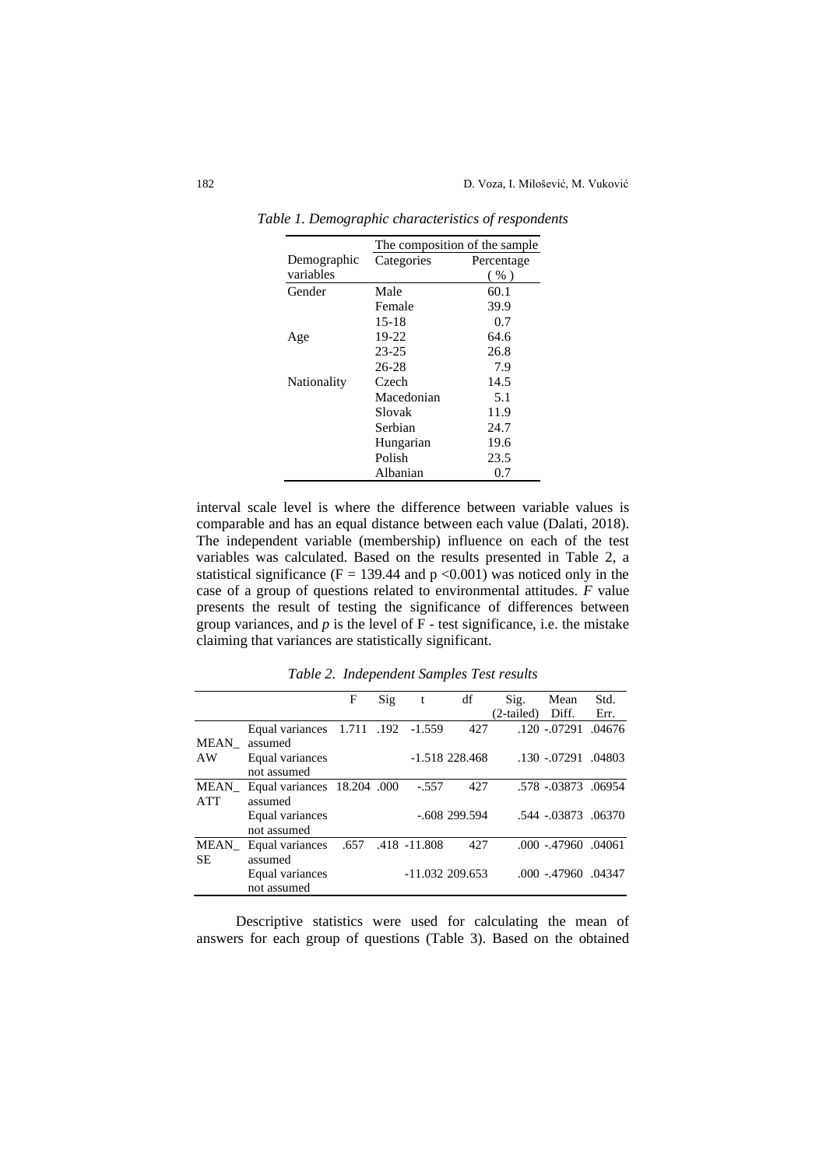|             | The composition of the sample |            |  |  |  |  |  |
|-------------|-------------------------------|------------|--|--|--|--|--|
| Demographic | Categories                    | Percentage |  |  |  |  |  |
| variables   |                               | $($ %)     |  |  |  |  |  |
| Gender      | Male                          | 60.1       |  |  |  |  |  |
|             | Female                        | 39.9       |  |  |  |  |  |
|             | $15 - 18$                     | 0.7        |  |  |  |  |  |
| Age         | 19-22                         | 64.6       |  |  |  |  |  |
|             | $23 - 25$                     | 26.8       |  |  |  |  |  |
|             | 26-28                         | 7.9        |  |  |  |  |  |
| Nationality | Czech                         | 14.5       |  |  |  |  |  |
|             | Macedonian                    | 5.1        |  |  |  |  |  |
|             | Slovak                        | 11.9       |  |  |  |  |  |
|             | Serbian                       | 24.7       |  |  |  |  |  |
|             | Hungarian                     | 19.6       |  |  |  |  |  |
|             | Polish                        | 23.5       |  |  |  |  |  |
|             | Albanian                      | 0.7        |  |  |  |  |  |

*Table 1. Demographic characteristics of respondents*

interval scale level is where the difference between variable values is comparable and has an equal distance between each value (Dalati, 2018). The independent variable (membership) influence on each of the test variables was calculated. Based on the results presented in Table 2, a statistical significance ( $F = 139.44$  and  $p < 0.001$ ) was noticed only in the case of a group of questions related to environmental attitudes. *F* value presents the result of testing the significance of differences between group variances, and  $p$  is the level of  $F$  - test significance, i.e. the mistake claiming that variances are statistically significant.

*Table 2. Independent Samples Test results*

|                    |                                        | F | Sig | t            | df               | Sig.       | Mean                | Std.   |
|--------------------|----------------------------------------|---|-----|--------------|------------------|------------|---------------------|--------|
|                    |                                        |   |     |              |                  | (2-tailed) | Diff.               | Err.   |
| MEAN               | Equal variances 1.711 .192<br>assumed  |   |     | $-1.559$     | 427              |            | .120 -.07291        | .04676 |
| AW                 | Equal variances<br>not assumed         |   |     |              | $-1.518$ 228.468 |            | .130 -.07291        | .04803 |
| MEAN<br><b>ATT</b> | Equal variances 18.204 .000<br>assumed |   |     | $-.557$      | 427              |            | .578 -.03873 .06954 |        |
|                    | Equal variances<br>not assumed         |   |     |              | $-.608299.594$   |            | .544 -.03873 .06370 |        |
| MEAN<br><b>SE</b>  | Equal variances .657<br>assumed        |   |     | .418 -11.808 | 427              |            | .000 .47960 .04061  |        |
|                    | Equal variances<br>not assumed         |   |     |              | $-11.032209.653$ |            | .000 -.47960        | .04347 |

Descriptive statistics were used for calculating the mean of answers for each group of questions (Table 3). Based on the obtained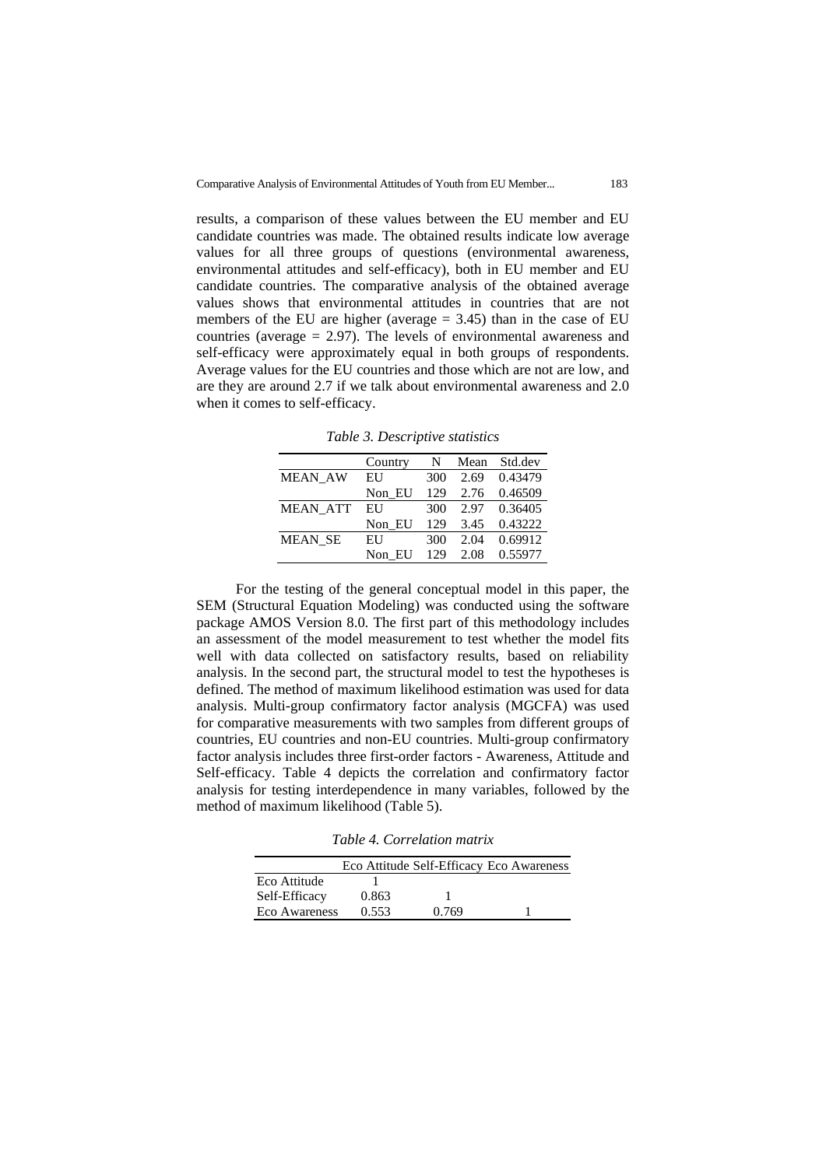results, a comparison of these values between the EU member and EU candidate countries was made. The obtained results indicate low average values for all three groups of questions (environmental awareness, environmental attitudes and self-efficacy), both in EU member and EU candidate countries. The comparative analysis of the obtained average values shows that environmental attitudes in countries that are not members of the EU are higher (average  $= 3.45$ ) than in the case of EU countries (average = 2.97). The levels of environmental awareness and self-efficacy were approximately equal in both groups of respondents. Average values for the EU countries and those which are not are low, and are they are around 2.7 if we talk about environmental awareness and 2.0 when it comes to self-efficacy.

*Table 3. Descriptive statistics*

|                 | Country | N   | Mean | Std.dev |
|-----------------|---------|-----|------|---------|
| <b>MEAN AW</b>  | EU      | 300 | 2.69 | 0.43479 |
|                 | Non EU  | 129 | 2.76 | 0.46509 |
| <b>MEAN ATT</b> | EU      | 300 | 2.97 | 0.36405 |
|                 | Non EU  | 129 | 3.45 | 0.43222 |
| <b>MEAN SE</b>  | EU      | 300 | 2.04 | 0.69912 |
|                 | Non EU  | 129 | 2.08 | 0.55977 |

For the testing of the general conceptual model in this paper, the SEM (Structural Equation Modeling) was conducted using the software package AMOS Version 8.0. The first part of this methodology includes an assessment of the model measurement to test whether the model fits well with data collected on satisfactory results, based on reliability analysis. In the second part, the structural model to test the hypotheses is defined. The method of maximum likelihood estimation was used for data analysis. Multi-group confirmatory factor analysis (MGCFA) was used for comparative measurements with two samples from different groups of countries, EU countries and non-EU countries. Multi-group confirmatory factor analysis includes three first-order factors - Awareness, Attitude and Self-efficacy. Table 4 depicts the correlation and confirmatory factor analysis for testing interdependence in many variables, followed by the method of maximum likelihood (Table 5).

*Table 4. Correlation matrix*

|               |       |       | Eco Attitude Self-Efficacy Eco Awareness |
|---------------|-------|-------|------------------------------------------|
| Eco Attitude  |       |       |                                          |
| Self-Efficacy | 0.863 |       |                                          |
| Eco Awareness | 0.553 | 0.769 |                                          |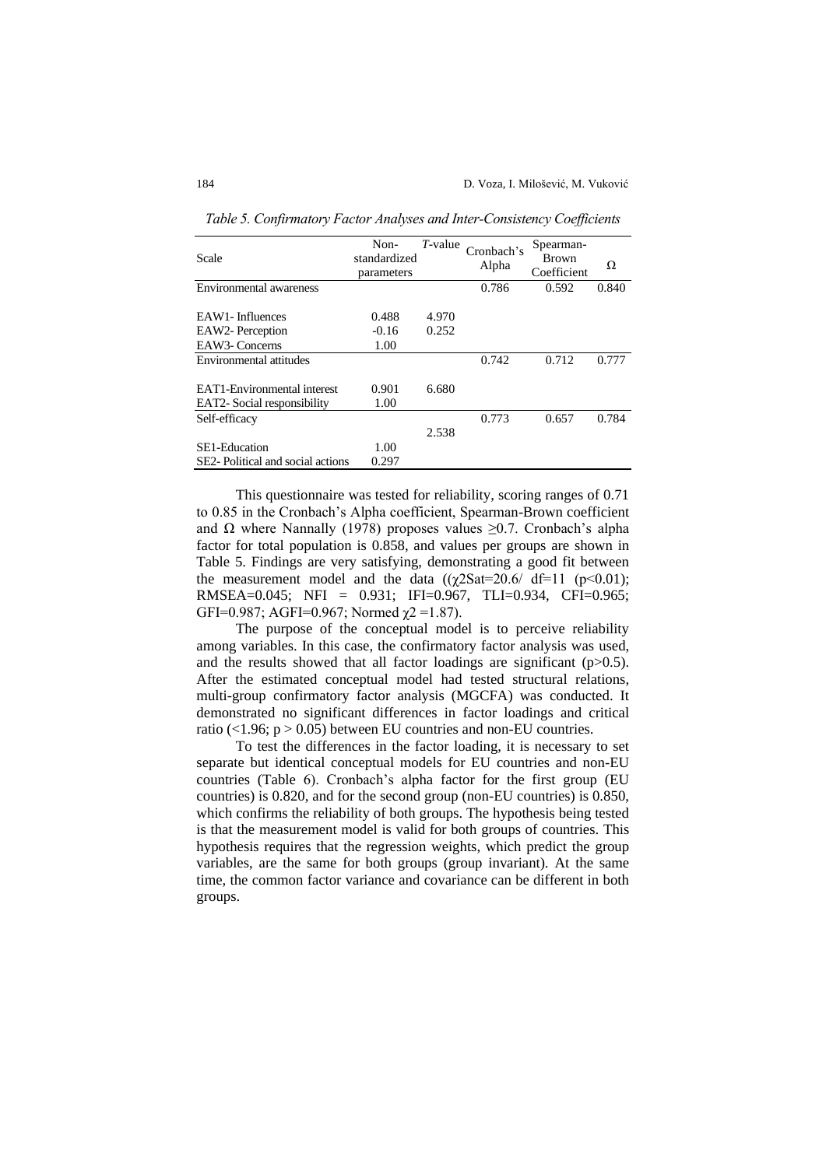| Scale                             | Non-<br>standardized<br>parameters | $T$ -value | Cronbach's<br>Alpha | Spearman-<br><b>Brown</b><br>Coefficient | Ω     |
|-----------------------------------|------------------------------------|------------|---------------------|------------------------------------------|-------|
| Environmental awareness           |                                    |            | 0.786               | 0.592                                    | 0.840 |
|                                   |                                    |            |                     |                                          |       |
| EAW1-Influences                   | 0.488                              | 4.970      |                     |                                          |       |
| EAW2- Perception                  | $-0.16$                            | 0.252      |                     |                                          |       |
| EAW3-Concerns                     | 1.00                               |            |                     |                                          |       |
| Environmental attitudes           |                                    |            | 0.742               | 0.712                                    | 0.777 |
|                                   |                                    |            |                     |                                          |       |
| EAT1-Environmental interest       | 0.901                              | 6.680      |                     |                                          |       |
| EAT2- Social responsibility       | 1.00                               |            |                     |                                          |       |
| Self-efficacy                     |                                    |            | 0.773               | 0.657                                    | 0.784 |
|                                   |                                    | 2.538      |                     |                                          |       |
| SE1-Education                     | 1.00                               |            |                     |                                          |       |
| SE2- Political and social actions | 0.297                              |            |                     |                                          |       |

*Table 5. Confirmatory Factor Analyses and Inter-Consistency Coefficients*

This questionnaire was tested for reliability, scoring ranges of 0.71 to 0.85 in the Cronbach's Alpha coefficient, Spearman-Brown coefficient and  $\Omega$  where Nannally (1978) proposes values  $\geq 0.7$ . Cronbach's alpha factor for total population is 0.858, and values per groups are shown in Table 5. Findings are very satisfying, demonstrating a good fit between the measurement model and the data  $((\chi 2\text{Sat}=20.6/\text{df}=11 \text{ (p}<0.01));$ RMSEA=0.045; NFI = 0.931; IFI=0.967, TLI=0.934, CFI=0.965; GFI=0.987; AGFI=0.967; Normed  $\chi$ 2 =1.87).

The purpose of the conceptual model is to perceive reliability among variables. In this case, the confirmatory factor analysis was used, and the results showed that all factor loadings are significant  $(p>0.5)$ . After the estimated conceptual model had tested structural relations, multi-group confirmatory factor analysis (MGCFA) was conducted. It demonstrated no significant differences in factor loadings and critical ratio (<1.96;  $p > 0.05$ ) between EU countries and non-EU countries.

To test the differences in the factor loading, it is necessary to set separate but identical conceptual models for EU countries and non-EU countries (Table 6). Cronbach's alpha factor for the first group (EU countries) is 0.820, and for the second group (non-EU countries) is 0.850, which confirms the reliability of both groups. The hypothesis being tested is that the measurement model is valid for both groups of countries. This hypothesis requires that the regression weights, which predict the group variables, are the same for both groups (group invariant). At the same time, the common factor variance and covariance can be different in both groups.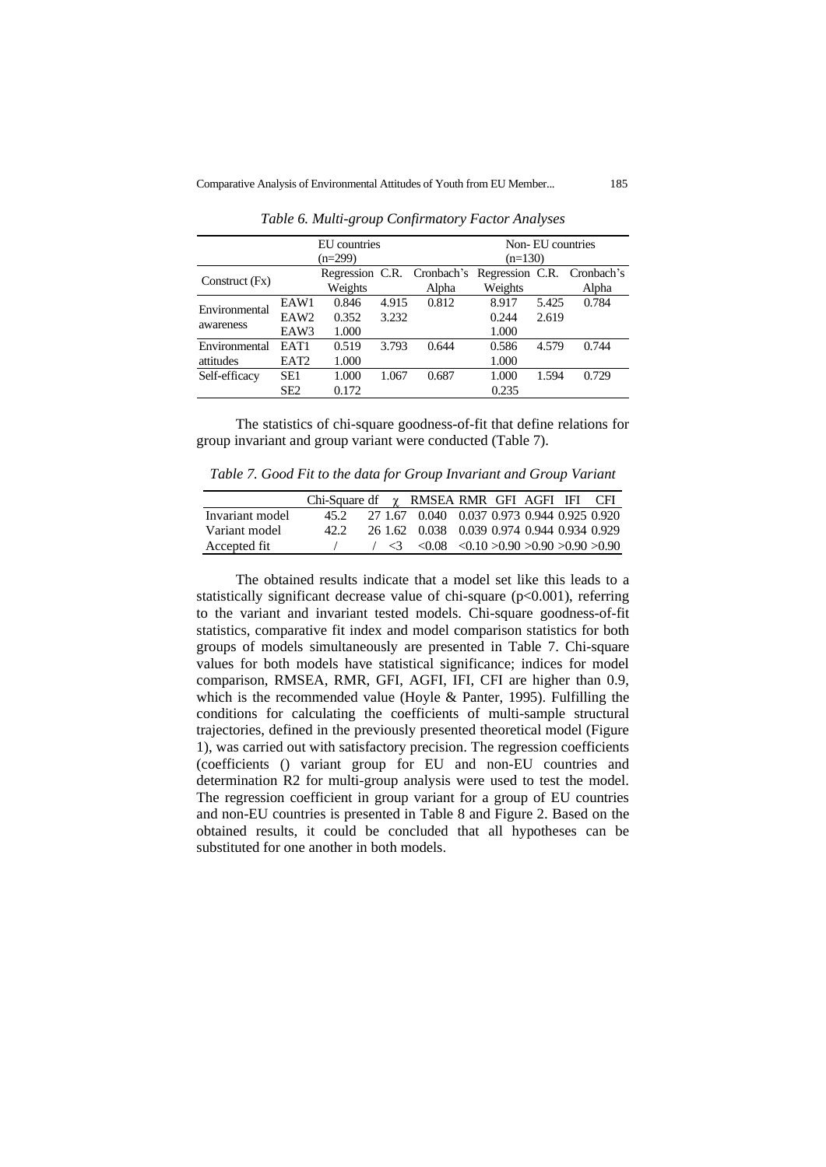|                            |                                  | EU countries<br>$(n=299)$ |                | Non-EU countries<br>$(n=130)$       |                         |                |                                     |
|----------------------------|----------------------------------|---------------------------|----------------|-------------------------------------|-------------------------|----------------|-------------------------------------|
| Construct $(Fx)$           |                                  | Weights                   |                | Regression C.R. Cronbach's<br>Alpha | Weights                 |                | Regression C.R. Cronbach's<br>Alpha |
| Environmental<br>awareness | EAW1<br>EAW <sub>2</sub><br>EAW3 | 0.846<br>0.352<br>1.000   | 4.915<br>3.232 | 0.812                               | 8.917<br>0.244<br>1.000 | 5.425<br>2.619 | 0.784                               |
| Environmental<br>attitudes | EAT1<br>EAT <sub>2</sub>         | 0.519<br>1.000            | 3.793          | 0.644                               | 0.586<br>1.000          | 4.579          | 0.744                               |
| Self-efficacy              | SE1<br>SE <sub>2</sub>           | 1.000<br>0.172            | 1.067          | 0.687                               | 1.000<br>0.235          | 1.594          | 0.729                               |

*Table 6. Multi-group Confirmatory Factor Analyses*

The statistics of chi-square goodness-of-fit that define relations for group invariant and group variant were conducted (Table 7).

*Table 7. Good Fit to the data for Group Invariant and Group Variant*

|                 | Chi-Square df $\gamma$ RMSEA RMR GFI AGFI IFI CFI |  |                                                                          |  |  |  |
|-----------------|---------------------------------------------------|--|--------------------------------------------------------------------------|--|--|--|
| Invariant model | 452.                                              |  | 27 1.67 0.040 0.037 0.973 0.944 0.925 0.920                              |  |  |  |
| Variant model   | 42.2                                              |  | 26 1.62 0.038 0.039 0.974 0.944 0.934 0.929                              |  |  |  |
| Accepted fit    |                                                   |  | $\sim$ 3 $\lt$ 0.08 $\lt$ 0.10 $>$ 0.90 $\gt$ 0.90 $\gt$ 0.90 $\gt$ 0.90 |  |  |  |

The obtained results indicate that a model set like this leads to a statistically significant decrease value of chi-square (p<0.001), referring to the variant and invariant tested models. Chi-square goodness-of-fit statistics, comparative fit index and model comparison statistics for both groups of models simultaneously are presented in Table 7. Chi-square values for both models have statistical significance; indices for model comparison, RMSEA, RMR, GFI, AGFI, IFI, CFI are higher than 0.9, which is the recommended value (Hoyle & Panter, 1995). Fulfilling the conditions for calculating the coefficients of multi-sample structural trajectories, defined in the previously presented theoretical model (Figure 1), was carried out with satisfactory precision. The regression coefficients (coefficients () variant group for EU and non-EU countries and determination R2 for multi-group analysis were used to test the model. The regression coefficient in group variant for a group of EU countries and non-EU countries is presented in Table 8 and Figure 2. Based on the obtained results, it could be concluded that all hypotheses can be substituted for one another in both models.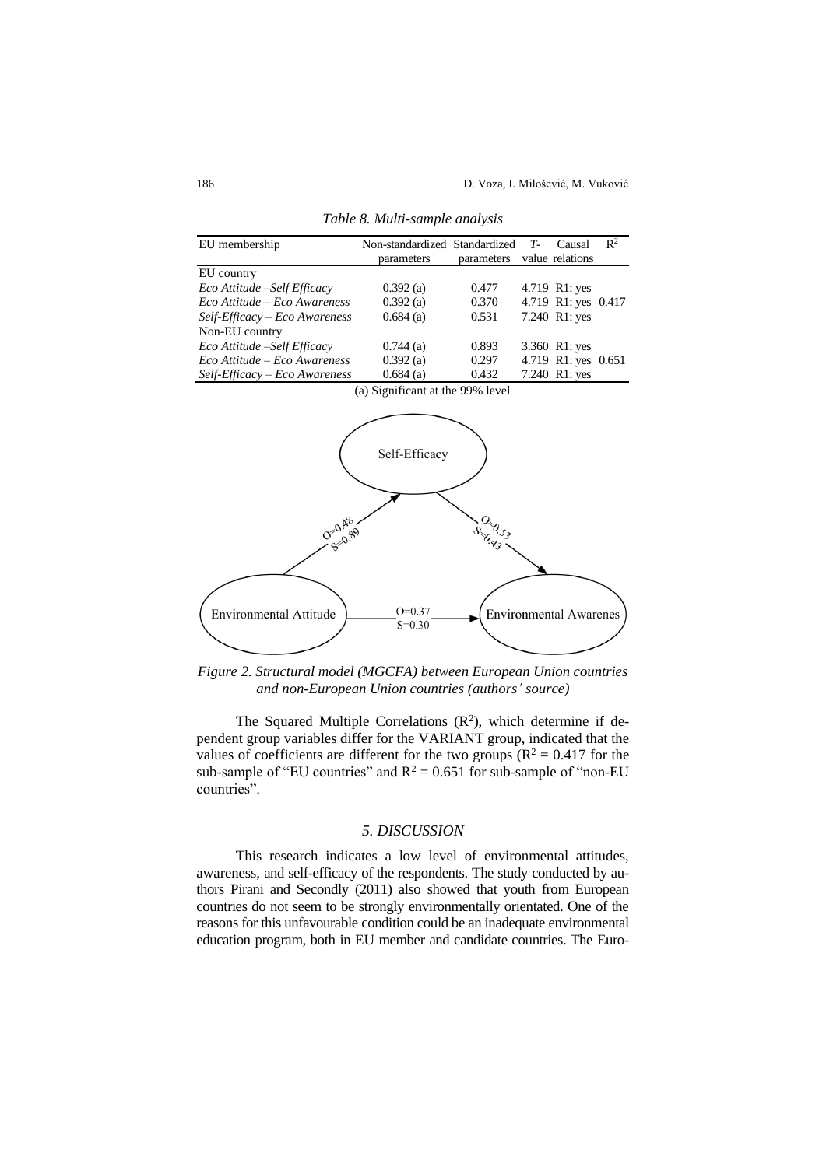| EU membership                 | Non-standardized Standardized<br>parameters | parameters | T- | Causal<br>value relations | $\mathbb{R}^2$ |
|-------------------------------|---------------------------------------------|------------|----|---------------------------|----------------|
| EU country                    |                                             |            |    |                           |                |
| Eco Attitude – Self Efficacy  | 0.392(a)                                    | 0.477      |    | 4.719 R1: yes             |                |
| Eco Attitude – Eco Awareness  | 0.392(a)                                    | 0.370      |    | 4.719 R1: yes 0.417       |                |
| Self-Efficacy - Eco Awareness | $0.684$ (a)                                 | 0.531      |    | 7.240 R1: yes             |                |
| Non-EU country                |                                             |            |    |                           |                |
| Eco Attitude -Self Efficacy   | $0.744$ (a)                                 | 0.893      |    | 3.360 R1: yes             |                |
| Eco Attitude – Eco Awareness  | 0.392(a)                                    | 0.297      |    | 4.719 R1: yes 0.651       |                |
| Self-Efficacy - Eco Awareness | $0.684$ (a)                                 | 0.432      |    | 7.240 R1: yes             |                |

*Table 8. Multi-sample analysis*

(a) Significant at the 99% level



*Figure 2. Structural model (MGCFA) between European Union countries and non-European Union countries (authors' source)*

The Squared Multiple Correlations  $(R^2)$ , which determine if dependent group variables differ for the VARIANT group, indicated that the values of coefficients are different for the two groups ( $\mathbb{R}^2 = 0.417$  for the sub-sample of "EU countries" and  $R^2 = 0.651$  for sub-sample of "non-EU countries".

## *5. DISCUSSION*

This research indicates a low level of environmental attitudes, awareness, and self-efficacy of the respondents. The study conducted by authors Pirani and Secondly (2011) also showed that youth from European countries do not seem to be strongly environmentally orientated. One of the reasons for this unfavourable condition could be an inadequate environmental education program, both in EU member and candidate countries. The Euro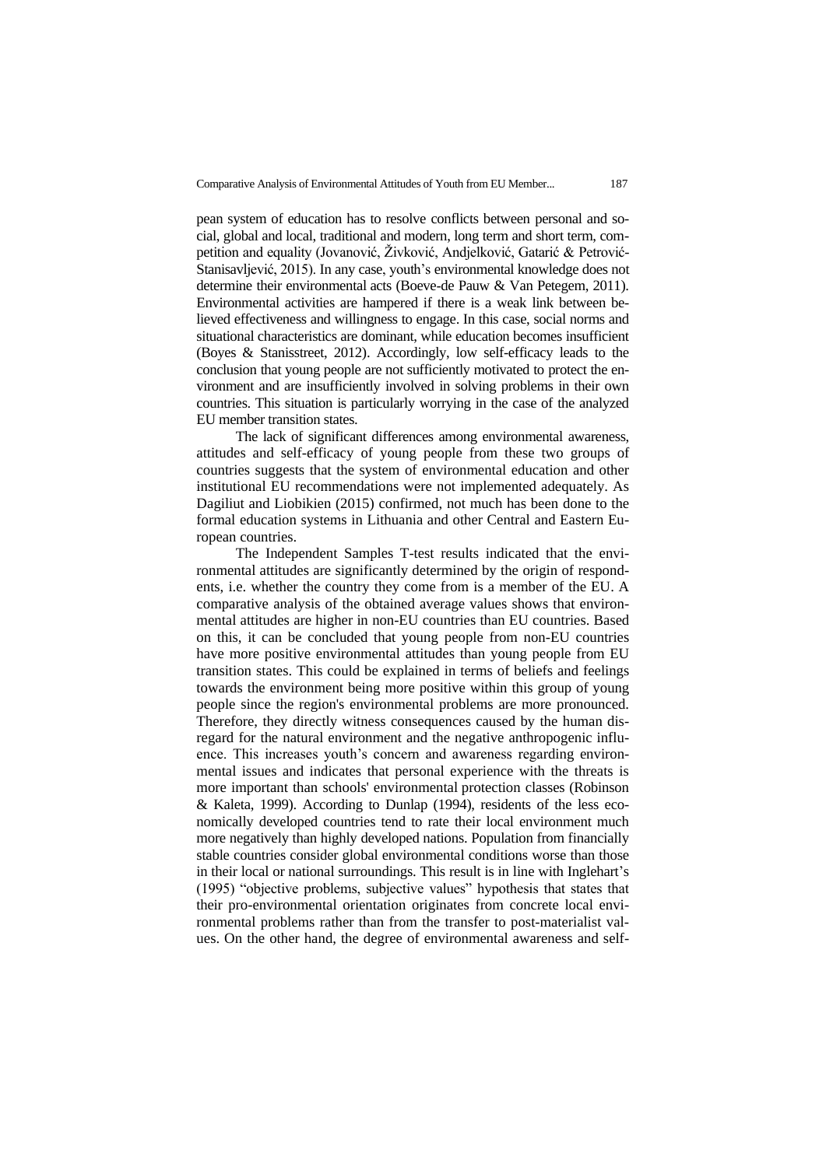pean system of education has to resolve conflicts between personal and social, global and local, traditional and modern, long term and short term, competition and equality (Jovanović, Živković, Andjelković, Gatarić & Petrović-Stanisavljević, 2015). In any case, youth's environmental knowledge does not determine their environmental acts (Boeve‐de Pauw & Van Petegem, 2011). Environmental activities are hampered if there is a weak link between believed effectiveness and willingness to engage. In this case, social norms and situational characteristics are dominant, while education becomes insufficient (Boyes & Stanisstreet, 2012). Accordingly, low self-efficacy leads to the conclusion that young people are not sufficiently motivated to protect the environment and are insufficiently involved in solving problems in their own countries. This situation is particularly worrying in the case of the analyzed EU member transition states.

The lack of significant differences among environmental awareness, attitudes and self-efficacy of young people from these two groups of countries suggests that the system of environmental education and other institutional EU recommendations were not implemented adequately. As Dagiliut and Liobikien (2015) confirmed, not much has been done to the formal education systems in Lithuania and other Central and Eastern European countries.

The Independent Samples T-test results indicated that the environmental attitudes are significantly determined by the origin of respondents, i.e. whether the country they come from is a member of the EU. A comparative analysis of the obtained average values shows that environmental attitudes are higher in non-EU countries than EU countries. Based on this, it can be concluded that young people from non-EU countries have more positive environmental attitudes than young people from EU transition states. This could be explained in terms of beliefs and feelings towards the environment being more positive within this group of young people since the region's environmental problems are more pronounced. Therefore, they directly witness consequences caused by the human disregard for the natural environment and the negative anthropogenic influence. This increases youth's concern and awareness regarding environmental issues and indicates that personal experience with the threats is more important than schools' environmental protection classes (Robinson & Kaleta, 1999). According to Dunlap (1994), residents of the less economically developed countries tend to rate their local environment much more negatively than highly developed nations. Population from financially stable countries consider global environmental conditions worse than those in their local or national surroundings. This result is in line with Inglehart's (1995) "objective problems, subjective values" hypothesis that states that their pro-environmental orientation originates from concrete local environmental problems rather than from the transfer to post-materialist values. On the other hand, the degree of environmental awareness and self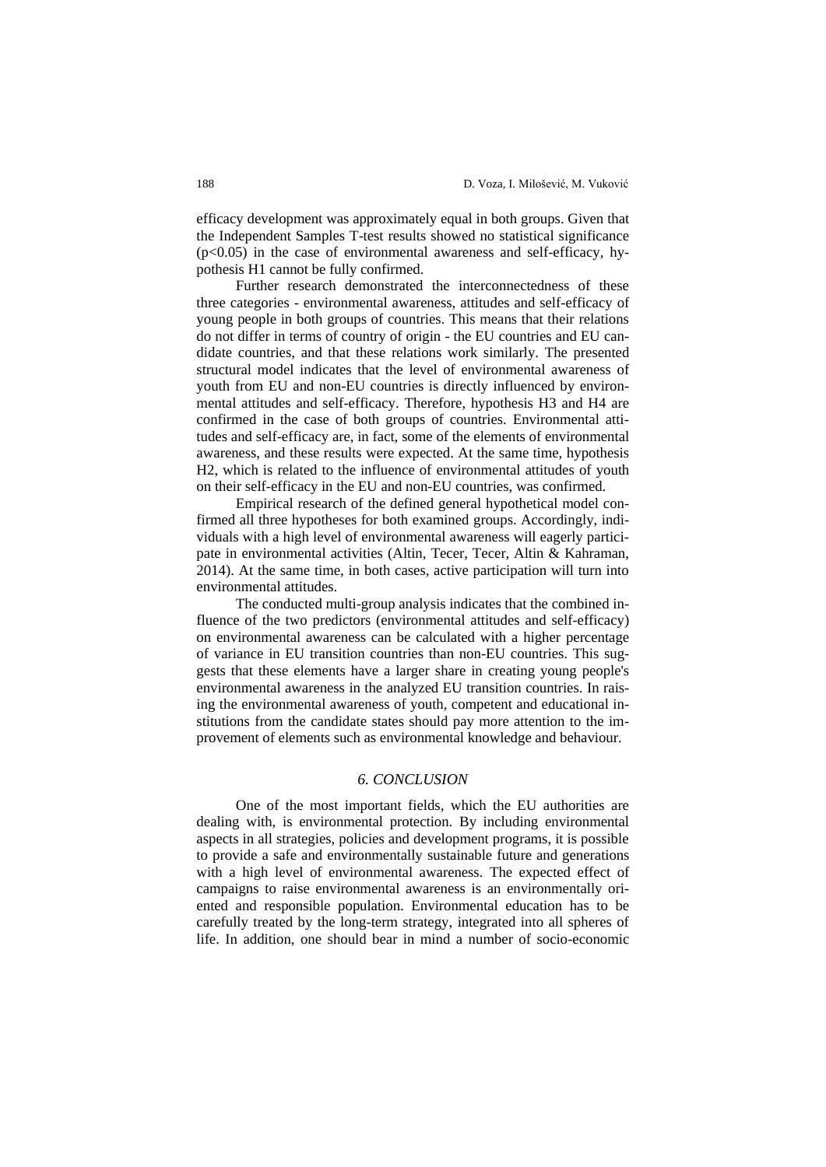efficacy development was approximately equal in both groups. Given that the Independent Samples T-test results showed no statistical significance  $(p<0.05)$  in the case of environmental awareness and self-efficacy, hypothesis H1 cannot be fully confirmed.

Further research demonstrated the interconnectedness of these three categories - environmental awareness, attitudes and self-efficacy of young people in both groups of countries. This means that their relations do not differ in terms of country of origin - the EU countries and EU candidate countries, and that these relations work similarly. The presented structural model indicates that the level of environmental awareness of youth from EU and non-EU countries is directly influenced by environmental attitudes and self-efficacy. Therefore, hypothesis H3 and H4 are confirmed in the case of both groups of countries. Environmental attitudes and self-efficacy are, in fact, some of the elements of environmental awareness, and these results were expected. At the same time, hypothesis H2, which is related to the influence of environmental attitudes of youth on their self-efficacy in the EU and non-EU countries, was confirmed.

Empirical research of the defined general hypothetical model confirmed all three hypotheses for both examined groups. Accordingly, individuals with a high level of environmental awareness will eagerly participate in environmental activities (Altin, Tecer, Tecer, Altin & Kahraman, 2014). At the same time, in both cases, active participation will turn into environmental attitudes.

The conducted multi-group analysis indicates that the combined influence of the two predictors (environmental attitudes and self-efficacy) on environmental awareness can be calculated with a higher percentage of variance in EU transition countries than non-EU countries. This suggests that these elements have a larger share in creating young people's environmental awareness in the analyzed EU transition countries. In raising the environmental awareness of youth, competent and educational institutions from the candidate states should pay more attention to the improvement of elements such as environmental knowledge and behaviour.

## *6. CONCLUSION*

One of the most important fields, which the EU authorities are dealing with, is environmental protection. By including environmental aspects in all strategies, policies and development programs, it is possible to provide a safe and environmentally sustainable future and generations with a high level of environmental awareness. The expected effect of campaigns to raise environmental awareness is an environmentally oriented and responsible population. Environmental education has to be carefully treated by the long-term strategy, integrated into all spheres of life. In addition, one should bear in mind a number of socio-economic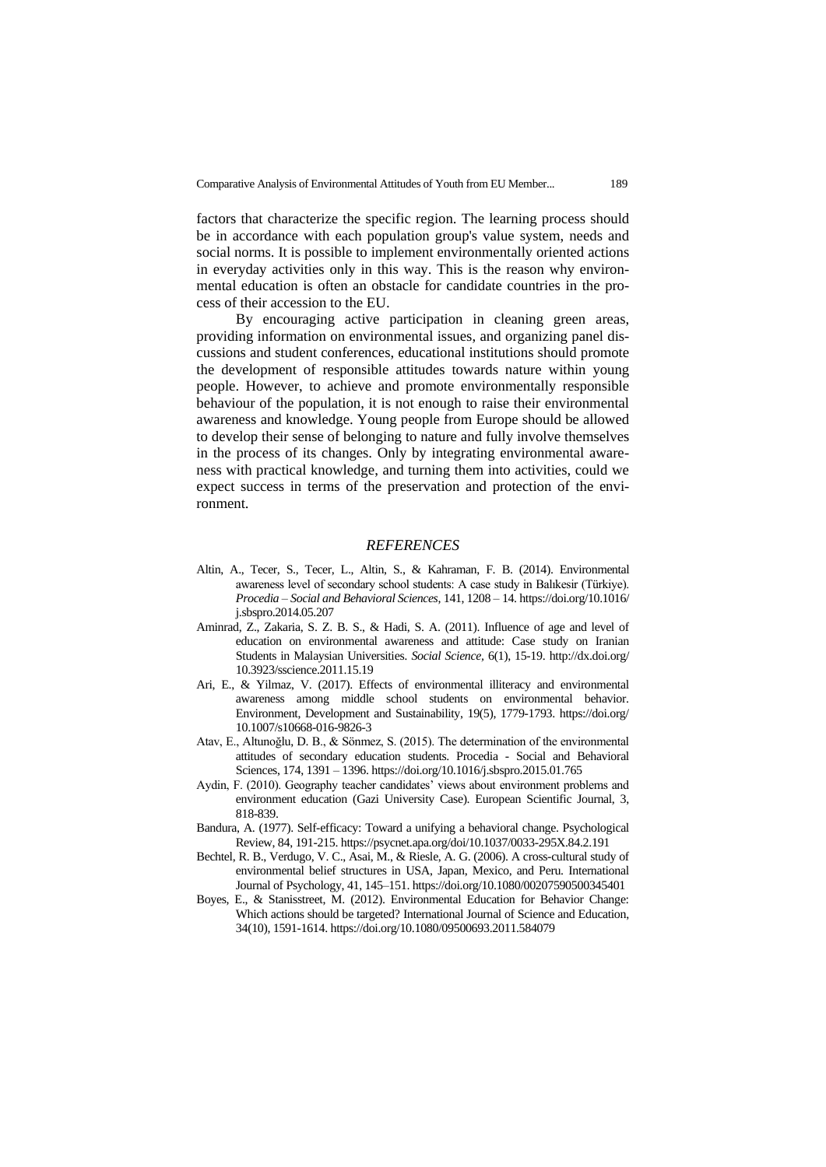factors that characterize the specific region. The learning process should be in accordance with each population group's value system, needs and social norms. It is possible to implement environmentally oriented actions in everyday activities only in this way. This is the reason why environmental education is often an obstacle for candidate countries in the process of their accession to the EU.

By encouraging active participation in cleaning green areas, providing information on environmental issues, and organizing panel discussions and student conferences, educational institutions should promote the development of responsible attitudes towards nature within young people. However, to achieve and promote environmentally responsible behaviour of the population, it is not enough to raise their environmental awareness and knowledge. Young people from Europe should be allowed to develop their sense of belonging to nature and fully involve themselves in the process of its changes. Only by integrating environmental awareness with practical knowledge, and turning them into activities, could we expect success in terms of the preservation and protection of the environment.

#### *REFERENCES*

- Altin, A., Tecer, S., Tecer, L., Altin, S., & Kahraman, F. B. (2014). Environmental awareness level of secondary school students: A case study in Balıkesir (Türkiye). *Procedia – Social and Behavioral Sciences*, 141, 1208 – 14[. https://doi.org/10.1016/](https://doi.org/10.1016/j.sbspro.2014.05.207) [j.sbspro.2014.05.207](https://doi.org/10.1016/j.sbspro.2014.05.207)
- Aminrad, Z., Zakaria, S. Z. B. S., & Hadi, S. A. (2011). Influence of age and level of education on environmental awareness and attitude: Case study on Iranian Students in Malaysian Universities*. Social Science,* 6(1), 15-19. [http://dx.doi.org/](http://dx.doi.org/10.3923/sscience.2011.15.19) [10.3923/sscience.2011.15.19](http://dx.doi.org/10.3923/sscience.2011.15.19)
- Ari, E., & Yilmaz, V. (2017). Effects of environmental illiteracy and environmental awareness among middle school students on environmental behavior. Environment, Development and Sustainability, 19(5), 1779-1793. [https://doi.org/](https://doi.org/10.1007/s10668-016-9826-3) [10.1007/s10668-016-9826-3](https://doi.org/10.1007/s10668-016-9826-3)
- Atav, E., Altunoğlu, D. B., & Sӧnmez, S. (2015). The determination of the environmental attitudes of secondary education students. Procedia - Social and Behavioral Sciences, 174, 1391 – 1396[. https://doi.org/10.1016/j.sbspro.2015.01.765](https://doi.org/10.1016/j.sbspro.2015.01.765)
- Aydin, F. (2010). Geography teacher candidates' views about environment problems and environment education (Gazi University Case). European Scientific Journal, 3, 818-839.
- Bandura, A. (1977). Self-efficacy: Toward a unifying a behavioral change. Psychological Review, 84, 191-215.<https://psycnet.apa.org/doi/10.1037/0033-295X.84.2.191>
- Bechtel, R. B., Verdugo, V. C., Asai, M., & Riesle, A. G. (2006). A cross-cultural study of environmental belief structures in USA, Japan, Mexico, and Peru. International Journal of Psychology, 41, 145–151[. https://doi.org/10.1080/00207590500345401](https://doi.org/10.1080/00207590500345401)
- Boyes, E., & Stanisstreet, M. (2012). Environmental Education for Behavior Change: Which actions should be targeted? International Journal of Science and Education, 34(10), 1591-1614[. https://doi.org/10.1080/09500693.2011.584079](https://doi.org/10.1080/09500693.2011.584079)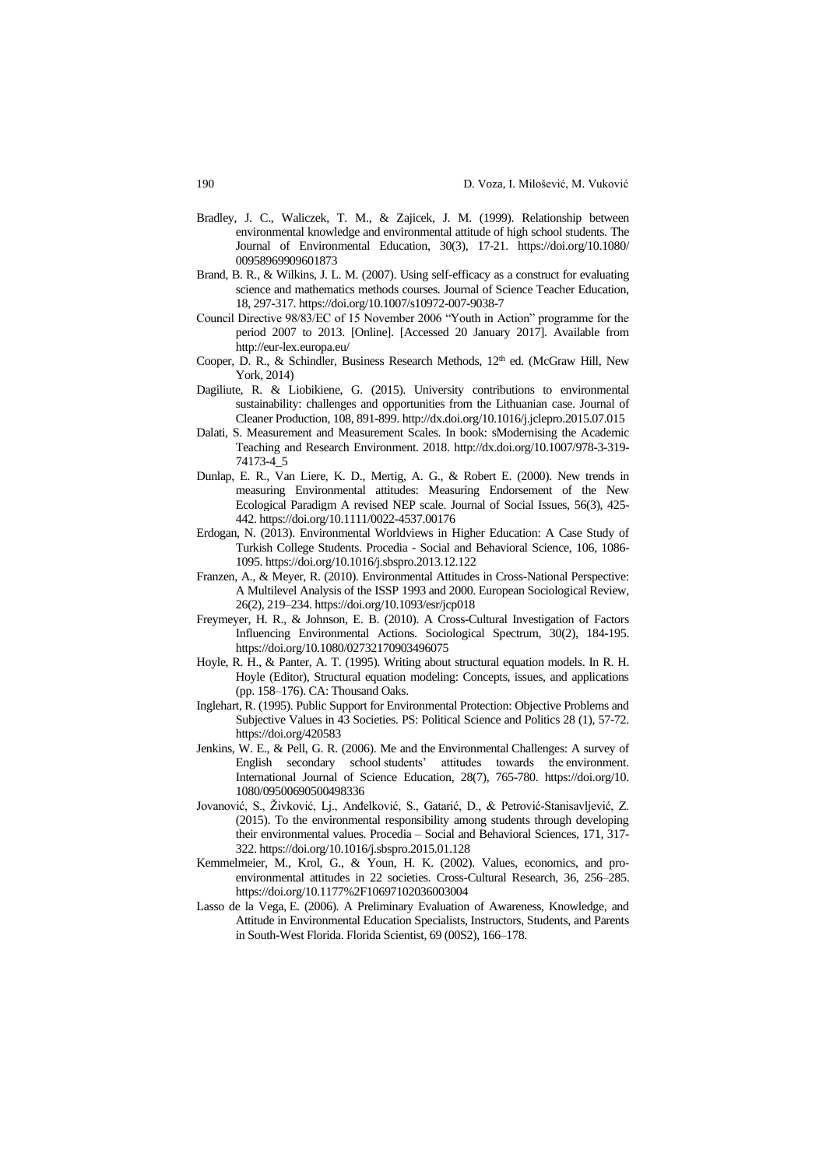- Bradley, J. C., Waliczek, T. M., & Zajicek, J. M. (1999). Relationship between environmental knowledge and environmental attitude of high school students. The Journal of Environmental Education, 30(3), 17-21. [https://doi.org/10.1080/](https://doi.org/10.1080/00958969909601873) [00958969909601873](https://doi.org/10.1080/00958969909601873)
- Brand, B. R., & Wilkins, J. L. M. (2007). Using self-efficacy as a construct for evaluating science and mathematics methods courses. Journal of Science Teacher Education, 18, 297-317[. https://doi.org/10.1007/s10972-007-9038-7](https://doi.org/10.1007/s10972-007-9038-7)
- Council Directive 98/83/EC of 15 November 2006 "Youth in Action" programme for the period 2007 to 2013. [Online]. [Accessed 20 January 2017]. Available from <http://eur-lex.europa.eu/>
- Cooper, D. R., & Schindler, Business Research Methods, 12<sup>th</sup> ed. (McGraw Hill, New York, 2014)
- Dagiliute, R. & Liobikiene, G. (2015). University contributions to environmental sustainability: challenges and opportunities from the Lithuanian case. Journal of Cleaner Production, 108, 891-899[. http://dx.doi.org/10.1016/j.jclepro.2015.07.015](http://dx.doi.org/10.1016/j.jclepro.2015.07.015)
- Dalati, S. Measurement and Measurement Scales. In book: sModernising the Academic Teaching and Research Environment. 2018. [http://dx.doi.org/10.1007/978-3-319-](http://dx.doi.org/10.1007/978-3-319-74173-4_5) [74173-4\\_5](http://dx.doi.org/10.1007/978-3-319-74173-4_5)
- Dunlap, E. R., Van Liere, K. D., Mertig, A. G., & Robert E. (2000). New trends in measuring Environmental attitudes: Measuring Endorsement of the New Ecological Paradigm A revised NEP scale. Journal of Social Issues, 56(3), 425- 442. <https://doi.org/10.1111/0022-4537.00176>
- Erdogan, N. (2013). Environmental Worldviews in Higher Education: A Case Study of Turkish College Students. Procedia - Social and Behavioral Science, 106, 1086- 1095[. https://doi.org/10.1016/j.sbspro.2013.12.122](https://doi.org/10.1016/j.sbspro.2013.12.122)
- Franzen, A., & Meyer, R. (2010). Environmental Attitudes in Cross-National Perspective: A Multilevel Analysis of the ISSP 1993 and 2000. European Sociological Review, 26(2), 219–234[. https://doi.org/10.1093/esr/jcp018](https://doi.org/10.1093/esr/jcp018)
- Freymeyer, H. R., & Johnson, E. B. (2010). A Cross-Cultural Investigation of Factors Influencing Environmental Actions. Sociological Spectrum, 30(2), 184-195. <https://doi.org/10.1080/02732170903496075>
- Hoyle, R. H., & Panter, A. T. (1995). Writing about structural equation models. In R. H. Hoyle (Editor), Structural equation modeling: Concepts, issues, and applications (pp. 158–176). CA: Thousand Oaks.
- Inglehart, R. (1995). Public Support for Environmental Protection: Objective Problems and Subjective Values in 43 Societies. PS: Political Science and Politics 28 (1), 57-72. <https://doi.org/420583>
- Jenkins, W. E., & Pell, G. R. (2006). Me and the Environmental Challenges: A survey of English secondary school students' attitudes towards the environment. International Journal of Science Education, 28(7), 765-780. [https://doi.org/10.](https://doi.org/10.1080/09500690500498336) [1080/09500690500498336](https://doi.org/10.1080/09500690500498336)
- Jovanović, S., Živković, Lj., Anđelković, S., Gatarić, D., & Petrović-Stanisavljević, Z. (2015). To the environmental responsibility among students through developing their environmental values. Procedia – Social and Behavioral Sciences, 171, 317- 322[. https://doi.org/10.1016/j.sbspro.2015.01.128](https://doi.org/10.1016/j.sbspro.2015.01.128)
- Kemmelmeier, M., Krol, G., & Youn, H. K. (2002). Values, economics, and proenvironmental attitudes in 22 societies. Cross-Cultural Research, 36, 256–285. <https://doi.org/10.1177%2F10697102036003004>
- Lasso de la Vega, E. (2006). A Preliminary Evaluation of Awareness, Knowledge, and Attitude in Environmental Education Specialists, Instructors, Students, and Parents in South-West Florida. Florida Scientist, 69 (00S2), 166–178.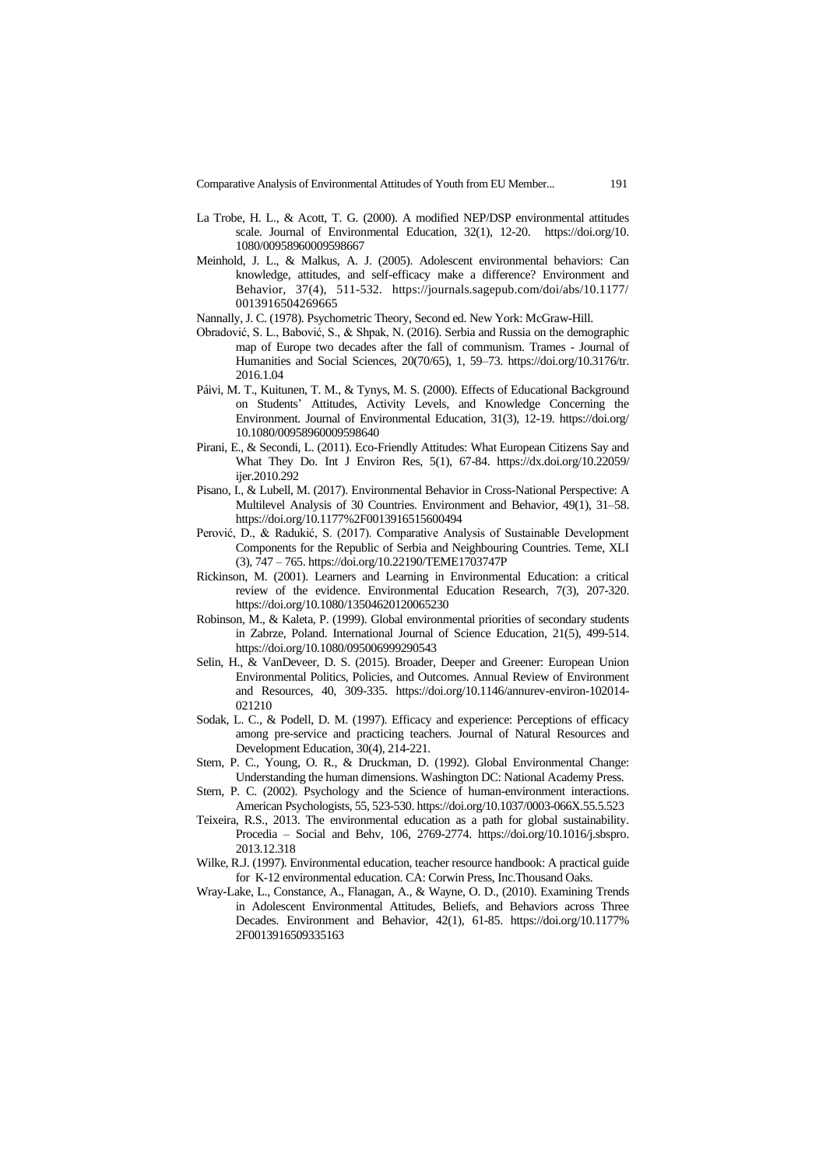Comparative Analysis of Environmental Attitudes of Youth from EU Member... 191

- La Trobe, H. L., & Acott, T. G. (2000). A modified NEP/DSP environmental attitudes scale. Journal of Environmental Education, 32(1), 12-20. [https://doi.org/10.](https://doi.org/10.1080/00958960009598667) [1080/00958960009598667](https://doi.org/10.1080/00958960009598667)
- Meinhold, J. L., & Malkus, A. J. (2005). Adolescent environmental behaviors: Can knowledge, attitudes, and self-efficacy make a difference? Environment and Behavior, 37(4), 511-532. [https://journals.sagepub.com/doi/abs/10.1177/](https://journals.sagepub.com/doi/abs/10.1177/0013916504269665) [0013916504269665](https://journals.sagepub.com/doi/abs/10.1177/0013916504269665)
- Nannally, J. C. (1978). Psychometric Theory, Second ed. New York: McGraw-Hill.
- Obradović, S. L., Babović, S., & Shpak, N. (2016). Serbia and Russia on the demographic map of Europe two decades after the fall of communism. Trames - Journal of Humanities and Social Sciences, 20(70/65), 1, 59–73. [https://doi.org/10.3176/tr.](https://doi.org/10.3176/tr.2016.1.04) [2016.1.04](https://doi.org/10.3176/tr.2016.1.04)
- Páivi, M. T., Kuitunen, T. M., & Tynys, M. S. (2000). Effects of Educational Background on Students' Attitudes, Activity Levels, and Knowledge Concerning the Environment. Journal of Environmental Education, 31(3), 12-19. [https://doi.org/](https://doi.org/10.1080/00958960009598640) [10.1080/00958960009598640](https://doi.org/10.1080/00958960009598640)
- Pirani, E., & Secondi, L. (2011). Eco-Friendly Attitudes: What European Citizens Say and What They Do. Int J Environ Res, 5(1), 67-84. [https://dx.doi.org/10.22059/](https://dx.doi.org/10.22059/ijer.2010.292) [ijer.2010.292](https://dx.doi.org/10.22059/ijer.2010.292)
- Pisano, I., & Lubell, M. (2017). Environmental Behavior in Cross-National Perspective: A Multilevel Analysis of 30 Countries. Environment and Behavior, 49(1), 31–58. <https://doi.org/10.1177%2F0013916515600494>
- Perović, D., & Radukić, S. (2017). Comparative Analysis of Sustainable Development Components for the Republic of Serbia and Neighbouring Countries. Teme, XLI (3), 747 – 765[. https://doi.org/10.22190/TEME1703747P](https://doi.org/10.22190/TEME1703747P)
- Rickinson, M. (2001). Learners and Learning in Environmental Education: a critical review of the evidence. Environmental Education Research, 7(3), 207-320. <https://doi.org/10.1080/13504620120065230>
- Robinson, M., & Kaleta, P. (1999). Global environmental priorities of secondary students in Zabrze, Poland. International Journal of Science Education, 21(5), 499-514. <https://doi.org/10.1080/095006999290543>
- Selin, H., & VanDeveer, D. S. (2015). Broader, Deeper and Greener: European Union Environmental Politics, Policies, and Outcomes. Annual Review of Environment and Resources, 40, 309-335. [https://doi.org/10.1146/annurev-environ-102014-](https://doi.org/10.1146/annurev-environ-102014-021210) [021210](https://doi.org/10.1146/annurev-environ-102014-021210)
- Sodak, L. C., & Podell, D. M. (1997). Efficacy and experience: Perceptions of efficacy among pre-service and practicing teachers. Journal of Natural Resources and Development Education, 30(4), 214-221.
- Stern, P. C., Young, O. R., & Druckman, D. (1992). Global Environmental Change: Understanding the human dimensions. Washington DC: National Academy Press.
- Stern, P. C. (2002). Psychology and the Science of human-environment interactions. American Psychologists, 55, 523-530. https://doi.org[/10.1037/0003-066X.55.5.523](http://dx.doi.org/10.1037/0003-066X.55.5.523)
- Teixeira, R.S., 2013. The environmental education as a path for global sustainability. Procedia – Social and Behv, 106, 2769-2774. [https://doi.org/10.1016/j.sbspro.](https://doi.org/10.1016/j.sbspro.2013.12.318) [2013.12.318](https://doi.org/10.1016/j.sbspro.2013.12.318)
- Wilke, R.J. (1997). Environmental education, teacher resource handbook: A practical guide for K-12 environmental education. CA: Corwin Press, Inc.Thousand Oaks.
- Wray-Lake, L., Constance, A., Flanagan, A., & Wayne, O. D., (2010). Examining Trends in Adolescent Environmental Attitudes, Beliefs, and Behaviors across Three Decades. Environment and Behavior, 42(1), 61-85. [https://doi.org/10.1177%](https://doi.org/10.1177%2F0013916509335163) [2F0013916509335163](https://doi.org/10.1177%2F0013916509335163)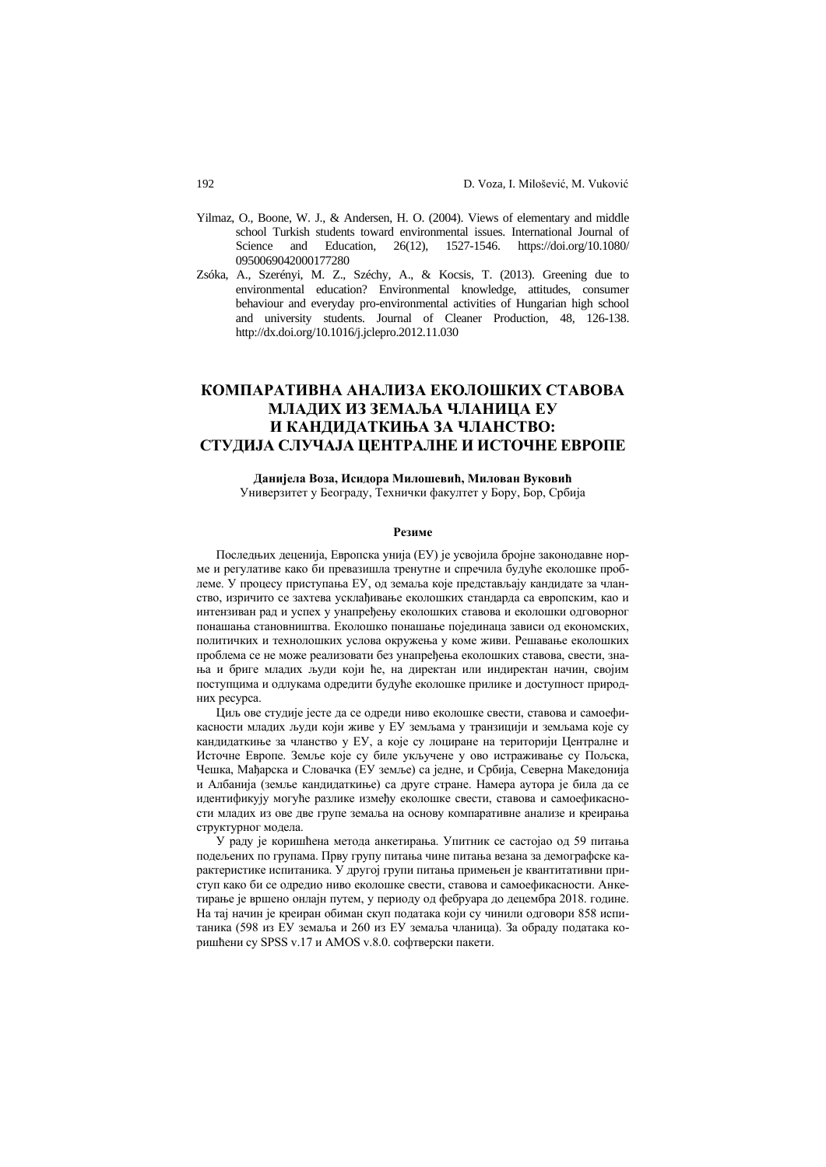- Yilmaz, O., Boone, W. J., & Andersen, H. O. (2004). Views of elementary and middle school Turkish students toward environmental issues. International Journal of Science and Education, 26(12), 1527-1546. [https://doi.org/10.1080/](https://doi.org/10.1080/0950069042000177280) [0950069042000177280](https://doi.org/10.1080/0950069042000177280)
- Zsóka, A., Szerényi, M. Z., Széchy, A., & Kocsis, T. (2013). Greening due to environmental education? Environmental knowledge, attitudes, consumer behaviour and everyday pro-environmental activities of Hungarian high school and university students. Journal of Cleaner Production, 48, 126-138. <http://dx.doi.org/10.1016/j.jclepro.2012.11.030>

# **КОМПАРАТИВНА АНАЛИЗА ЕКОЛОШКИХ СТАВОВА МЛАДИХ ИЗ ЗЕМАЉА ЧЛАНИЦА ЕУ И КАНДИДАТКИЊА ЗА ЧЛАНСТВО: СТУДИЈА СЛУЧАЈА ЦЕНТРАЛНЕ И ИСТОЧНЕ ЕВРОПЕ**

#### **Данијела Воза, Исидора Милошевић, Милован Вуковић** Универзитет у Београду, Технички факултет у Бору, Бор, Србија

#### **Резиме**

Последњих деценија, Европска унија (ЕУ) је усвојила бројне законодавне норме и регулативе како би превазишла тренутне и спречила будуће еколошке проблеме. У процесу приступања ЕУ, од земаља које представљају кандидате за чланство, изричито се захтева усклађивање еколошких стандарда са европским, као и интензиван рад и успех у унапређењу еколошких ставова и еколошки одговорног понашања становништва. Еколошко понашање појединаца зависи од економских, политичких и технолошких услова окружења у коме живи. Решавање еколошких проблема се не може реализовати без унапређења еколошких ставова, свести, знања и бриге младих људи који ће, на директан или индиректан начин, својим поступцима и одлукама одредити будуће еколошке прилике и доступност природних ресурса.

Циљ ове студије јесте да се одреди ниво еколошке свести, ставова и самоефикасности младих људи који живе у ЕУ земљама у транзицији и земљама које су кандидаткиње за чланство у ЕУ, а које су лоциране на територији Централне и Источне Европе. Земље које су биле укључене у ово истраживање су Пољска, Чешка, Мађарска и Словачка (ЕУ земље) са једне, и Србија, Северна Македонија и Албанија (земље кандидаткиње) са друге стране. Намера аутора је била да се идентификују могуће разлике између еколошке свести, ставова и самоефикасности младих из ове две групе земаља на основу компаративне анализе и креирања структурног модела.

У раду је коришћена метода анкетирања. Упитник се састојао од 59 питања подељених по групама. Прву групу питања чине питања везана за демографске карактеристике испитаника. У другој групи питања примењен је квантитативни приступ како би се одредио ниво еколошке свести, ставова и самоефикасности. Анкетирање је вршено онлајн путем, у периоду од фебруара до децембра 2018. године. На тај начин је креиран обиман скуп података који су чинили одговори 858 испитаника (598 из ЕУ земаља и 260 из ЕУ земаља чланица). За обраду података коришћени су SPSS v.17 и AMOS v.8.0. софтверски пакети.